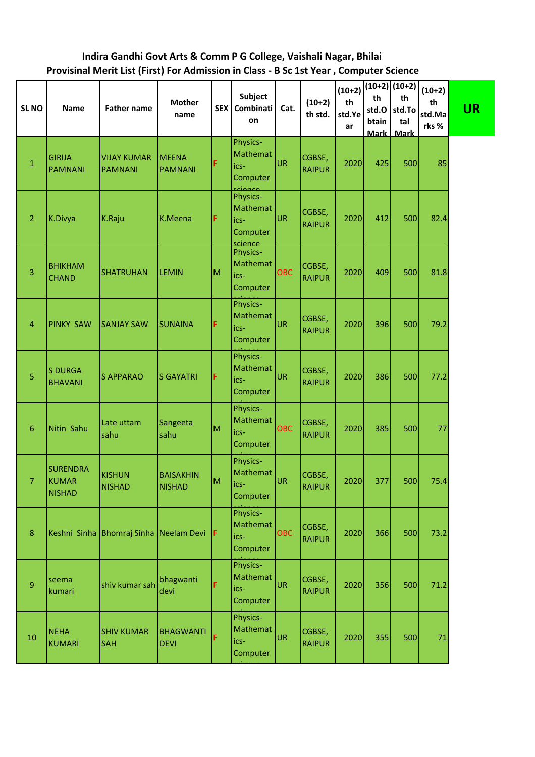## **Indira Gandhi Govt Arts & Comm P G College, Vaishali Nagar, Bhilai Provisinal Merit List (First) For Admission in Class - B Sc 1st Year , Computer Science**

| SL <sub>NO</sub> | <b>Name</b>                               | <b>Father name</b>                     | <b>Mother</b><br>name             | <b>SEX</b> | Subject<br>Combinati<br>on                                     | Cat.       | $(10+2)$<br>th std.     | $(10+2)$<br>th<br>std.Ye<br>ar | th<br>std.O<br>btain | $(10+2)$ $(10+2)$<br>th<br>std.To<br>tal<br>Mark Mark | $(10+2)$<br>th<br>std.Ma<br>rks % | <b>UR</b> |
|------------------|-------------------------------------------|----------------------------------------|-----------------------------------|------------|----------------------------------------------------------------|------------|-------------------------|--------------------------------|----------------------|-------------------------------------------------------|-----------------------------------|-----------|
| $\mathbf 1$      | <b>GIRIJA</b><br><b>PAMNANI</b>           | <b>VIJAY KUMAR</b><br>PAMNANI          | <b>MEENA</b><br><b>PAMNANI</b>    | F          | Physics-<br>Mathemat<br>ics-<br>Computer                       | UR         | CGBSE,<br><b>RAIPUR</b> | 2020                           | 425                  | 500                                                   | 85                                |           |
| $\overline{2}$   | K.Divya                                   | K.Raju                                 | K.Meena                           | F          | ccionco<br>Physics-<br>Mathemat<br>ics-<br>Computer<br>science | UR         | CGBSE,<br><b>RAIPUR</b> | 2020                           | 412                  | 500                                                   | 82.4                              |           |
| 3                | <b>BHIKHAM</b><br><b>CHAND</b>            | <b>SHATRUHAN</b>                       | <b>LEMIN</b>                      | M          | Physics-<br>Mathemat<br>ics-<br>Computer                       | OBC        | CGBSE,<br><b>RAIPUR</b> | 2020                           | 409                  | 500                                                   | 81.8                              |           |
| 4                | <b>PINKY SAW</b>                          | <b>SANJAY SAW</b>                      | <b>SUNAINA</b>                    | F          | Physics-<br>Mathemat<br>ics-<br>Computer                       | UR         | CGBSE,<br><b>RAIPUR</b> | 2020                           | 396                  | 500                                                   | 79.2                              |           |
| 5                | <b>S DURGA</b><br><b>BHAVANI</b>          | <b>S APPARAO</b>                       | <b>S GAYATRI</b>                  | F          | Physics-<br>Mathemat<br>ics-<br>Computer                       | UR         | CGBSE,<br><b>RAIPUR</b> | 2020                           | 386                  | 500                                                   | 77.2                              |           |
| $6\phantom{.}6$  | Nitin Sahu                                | Late uttam<br>sahu                     | Sangeeta<br>sahu                  | M          | Physics-<br>Mathemat<br>ics-<br>Computer                       | <b>OBC</b> | CGBSE,<br><b>RAIPUR</b> | 2020                           | 385                  | 500                                                   | 77                                |           |
| 7.               | <b>SURENDRA</b><br>KUMAR<br><b>NISHAD</b> | <b>KISHUN</b><br><b>NISHAD</b>         | <b>BAISAKHIN</b><br><b>NISHAD</b> | M          | Physics-<br>Mathemat<br>lics-<br>Computer                      | UR         | CGBSE,<br><b>RAIPUR</b> | 2020                           | 377                  | 500                                                   | 75.4                              |           |
| $\bf 8$          |                                           | Keshni Sinha Bhomraj Sinha Neelam Devi |                                   | IF.        | Physics-<br>Mathemat<br>ics-<br>Computer                       | <b>OBC</b> | CGBSE,<br><b>RAIPUR</b> | 2020                           | 366                  | 500                                                   | 73.2                              |           |
| $\overline{9}$   | seema<br>kumari                           | shiv kumar sah                         | bhagwanti<br>devi                 | F          | Physics-<br>Mathemat<br>ics-<br>Computer                       | UR         | CGBSE,<br><b>RAIPUR</b> | 2020                           | 356                  | 500                                                   | 71.2                              |           |
| 10               | <b>NEHA</b><br><b>KUMARI</b>              | <b>SHIV KUMAR</b><br><b>SAH</b>        | <b>BHAGWANTI</b><br><b>DEVI</b>   | F          | Physics-<br><b>Mathemat</b><br>ics-<br>Computer                | UR         | CGBSE,<br><b>RAIPUR</b> | 2020                           | 355                  | 500                                                   | 71                                |           |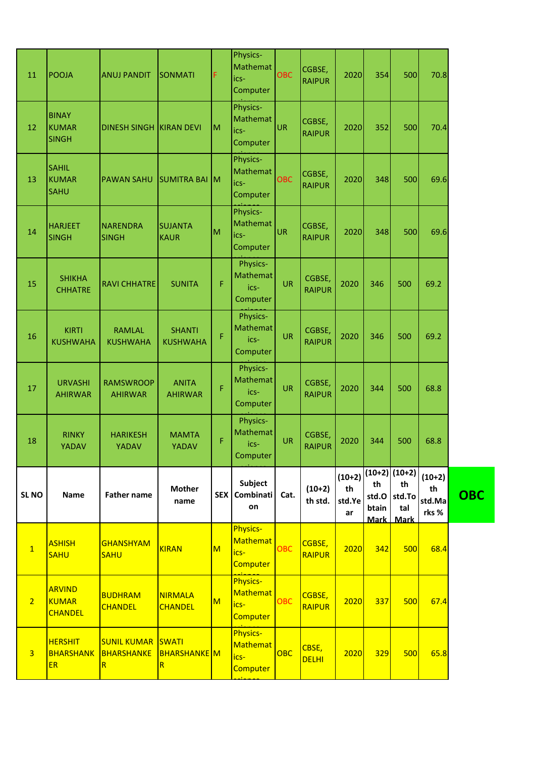| 11               | <b>POOJA</b>                                    | <b>ANUJ PANDIT</b>                    | <b>SONMATI</b>                                          | F                       | Physics-<br>Mathemat<br>ics-<br>Computer               | <b>OBC</b> | CGBSE,<br><b>RAIPUR</b> | 2020                           | 354         | 500                                                         | 70.8                              |            |
|------------------|-------------------------------------------------|---------------------------------------|---------------------------------------------------------|-------------------------|--------------------------------------------------------|------------|-------------------------|--------------------------------|-------------|-------------------------------------------------------------|-----------------------------------|------------|
| 12               | <b>BINAY</b><br><b>KUMAR</b><br><b>SINGH</b>    | <b>DINESH SINGH</b>                   | <b>IKIRAN DEVI</b>                                      | M                       | Physics-<br>Mathemat<br>ics-<br>Computer               | UR         | CGBSE,<br><b>RAIPUR</b> | 2020                           | 352         | 500                                                         | 70.4                              |            |
| 13               | <b>SAHIL</b><br><b>KUMAR</b><br><b>SAHU</b>     | <b>PAWAN SAHU</b>                     | SUMITRA BAI M                                           |                         | Physics-<br>Mathemat<br>ics-<br>Computer               | <b>OBC</b> | CGBSE,<br><b>RAIPUR</b> | 2020                           | 348         | 500                                                         | 69.6                              |            |
| 14               | <b>HARJEET</b><br><b>SINGH</b>                  | NARENDRA<br><b>SINGH</b>              | <b>SUJANTA</b><br><b>KAUR</b>                           | M                       | Physics-<br>Mathemat<br>ics-<br>Computer               | UR         | CGBSE,<br><b>RAIPUR</b> | 2020                           | 348         | 500                                                         | 69.6                              |            |
| 15               | <b>SHIKHA</b><br><b>CHHATRE</b>                 | <b>RAVI CHHATRE</b>                   | <b>SUNITA</b>                                           | F                       | Physics-<br>Mathemat<br>ics-<br>Computer               | <b>UR</b>  | CGBSE,<br><b>RAIPUR</b> | 2020                           | 346         | 500                                                         | 69.2                              |            |
| 16               | <b>KIRTI</b><br><b>KUSHWAHA</b>                 | <b>RAMLAL</b><br><b>KUSHWAHA</b>      | <b>SHANTI</b><br><b>KUSHWAHA</b>                        | F                       | Physics-<br>Mathemat<br>ics-<br>Computer               | <b>UR</b>  | CGBSE,<br><b>RAIPUR</b> | 2020                           | 346         | 500                                                         | 69.2                              |            |
| 17               | <b>URVASHI</b><br><b>AHIRWAR</b>                | <b>RAMSWROOP</b><br><b>AHIRWAR</b>    | <b>ANITA</b><br><b>AHIRWAR</b>                          | Ë                       | Physics-<br><b>Mathemat</b><br>ics-<br>Computer        | <b>UR</b>  | CGBSE,<br><b>RAIPUR</b> | 2020                           | 344         | 500                                                         | 68.8                              |            |
| 18               | <b>RINKY</b><br><b>YADAV</b>                    | <b>HARIKESH</b><br>YADAV              | <b>MAMTA</b><br><b>YADAV</b>                            | F                       | Physics-<br>Mathemat<br>ics-<br>Computer               | <b>UR</b>  | CGBSE,<br><b>RAIPUR</b> | 2020                           | 344         | 500                                                         | 68.8                              |            |
| SL <sub>NO</sub> | <b>Name</b>                                     | <b>Father name</b>                    | <b>Mother</b><br>name                                   |                         | <b>Subject</b><br>SEX   Combinati  <br>on              | Cat.       | $(10+2)$<br>th std.     | $(10+2)$<br>th<br>std.Ye<br>ar | th<br>btain | $(10+2)$ $(10+2)$<br>th<br>std.O std.To<br>tal<br>Mark Mark | $(10+2)$<br>th<br>std.Ma<br>rks % | <b>OBC</b> |
| $\overline{1}$   | <b>ASHISH</b><br><b>SAHU</b>                    | <b>GHANSHYAM</b><br><b>SAHU</b>       | KIRAN                                                   | $\overline{\mathsf{M}}$ | <b>Physics-</b><br><b>Mathemat</b><br>ics-<br>Computer | <b>OBC</b> | CGBSE,<br><b>RAIPUR</b> | 2020                           | 342         | 500                                                         | 68.4                              |            |
| $\overline{2}$   | <b>ARVIND</b><br><b>KUMAR</b><br><b>CHANDEL</b> | <b>BUDHRAM</b><br><b>CHANDEL</b>      | <b>NIRMALA</b><br><b>CHANDEL</b>                        | M                       | <b>Physics-</b><br><b>Mathemat</b><br>ics-<br>Computer | <b>OBC</b> | CGBSE,<br><b>RAIPUR</b> | 2020                           | 337         | 500                                                         | 67.4                              |            |
| $\overline{3}$   | <b>HERSHIT</b><br><b>BHARSHANK</b><br><b>ER</b> | <b>SUNIL KUMAR</b><br>BHARSHANKE<br>R | SWATI<br><b>BHARSHANKE</b> M<br>$\overline{\mathsf{R}}$ |                         | Physics-<br>Mathemat<br>ics-<br><b>Computer</b>        | <b>OBC</b> | CBSE,<br><b>DELHI</b>   | 2020                           | 329         | 500                                                         | 65.8                              |            |